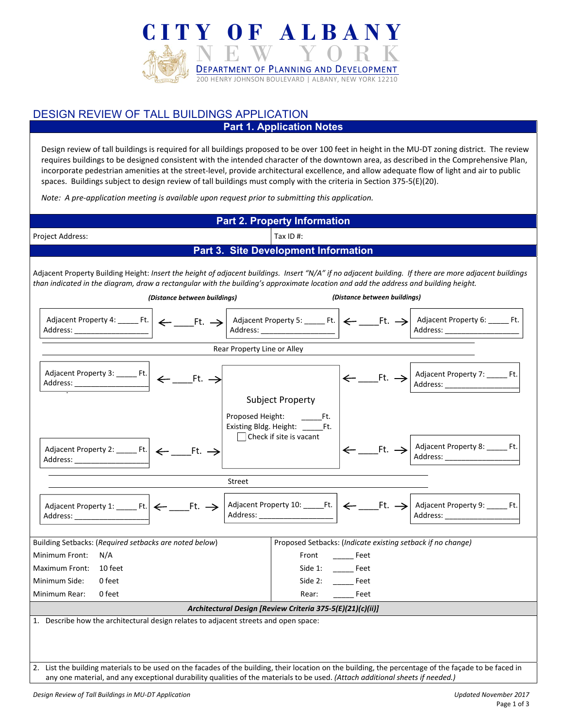

## DESIGN REVIEW OF TALL BUILDINGS APPLICATION **Part 1. Application Notes**

Design review of tall buildings is required for all buildings proposed to be over 100 feet in height in the MU‐DT zoning district. The review requires buildings to be designed consistent with the intended character of the downtown area, as described in the Comprehensive Plan, incorporate pedestrian amenities at the street‐level, provide architectural excellence, and allow adequate flow of light and air to public spaces. Buildings subject to design review of tall buildings must comply with the criteria in Section 375-5(E)(20).

*Note: A pre‐application meeting is available upon request prior to submitting this application.* 

| <b>Part 2. Property Information</b>                                                                                                                                                                                                                                                                                                                           |                      |  |  |  |  |  |
|---------------------------------------------------------------------------------------------------------------------------------------------------------------------------------------------------------------------------------------------------------------------------------------------------------------------------------------------------------------|----------------------|--|--|--|--|--|
| Tax ID $#$ :<br>Project Address:                                                                                                                                                                                                                                                                                                                              |                      |  |  |  |  |  |
| <b>Part 3. Site Development Information</b>                                                                                                                                                                                                                                                                                                                   |                      |  |  |  |  |  |
| Adjacent Property Building Height: Insert the height of adjacent buildings. Insert "N/A" if no adjacent building. If there are more adjacent buildings<br>than indicated in the diagram, draw a rectangular with the building's approximate location and add the address and building height.<br>(Distance between buildings)<br>(Distance between buildings) |                      |  |  |  |  |  |
| Address: _______                                                                                                                                                                                                                                                                                                                                              |                      |  |  |  |  |  |
| Rear Property Line or Alley                                                                                                                                                                                                                                                                                                                                   |                      |  |  |  |  |  |
| $\leftarrow$ ________Ft. $\rightarrow$ $\left  \begin{array}{l} \text{Adjacent Property 7:} \ -\end{array} \right $ Address:                                                                                                                                                                                                                                  |                      |  |  |  |  |  |
| <b>Subject Property</b><br>Existing Bldg. Height: ______Ft.<br>$\Box$ Check if site is vacant<br>$\left \leftarrow \_\_$ Ft. $\rightarrow \right $ Adjacent Property 8: _______ Ft.<br>Adjacent Property 2: _______ Ft. $\left  \leftarrow$ _________ Ft. $\rightarrow$<br>Address: ________________                                                          |                      |  |  |  |  |  |
| Street                                                                                                                                                                                                                                                                                                                                                        |                      |  |  |  |  |  |
|                                                                                                                                                                                                                                                                                                                                                               |                      |  |  |  |  |  |
| Building Setbacks: (Required setbacks are noted below)<br>Proposed Setbacks: (Indicate existing setback if no change)                                                                                                                                                                                                                                         |                      |  |  |  |  |  |
| Front _________ Feet<br>Minimum Front:<br>N/A                                                                                                                                                                                                                                                                                                                 |                      |  |  |  |  |  |
| Side 1: _______ Feet<br>Maximum Front:<br>10 feet                                                                                                                                                                                                                                                                                                             |                      |  |  |  |  |  |
| Minimum Side:<br>0 feet                                                                                                                                                                                                                                                                                                                                       | Side 2: _______ Feet |  |  |  |  |  |
| Minimum Rear:<br>Rear: Feet<br>0 feet                                                                                                                                                                                                                                                                                                                         |                      |  |  |  |  |  |
| Architectural Design [Review Criteria 375-5(E)(21)(c)(ii)]                                                                                                                                                                                                                                                                                                    |                      |  |  |  |  |  |
| 1. Describe how the architectural design relates to adjacent streets and open space:<br>2. List the building materials to be used on the facades of the building, their location on the building, the percentage of the façade to be faced in                                                                                                                 |                      |  |  |  |  |  |
| any one material, and any exceptional durability qualities of the materials to be used. (Attach additional sheets if needed.)                                                                                                                                                                                                                                 |                      |  |  |  |  |  |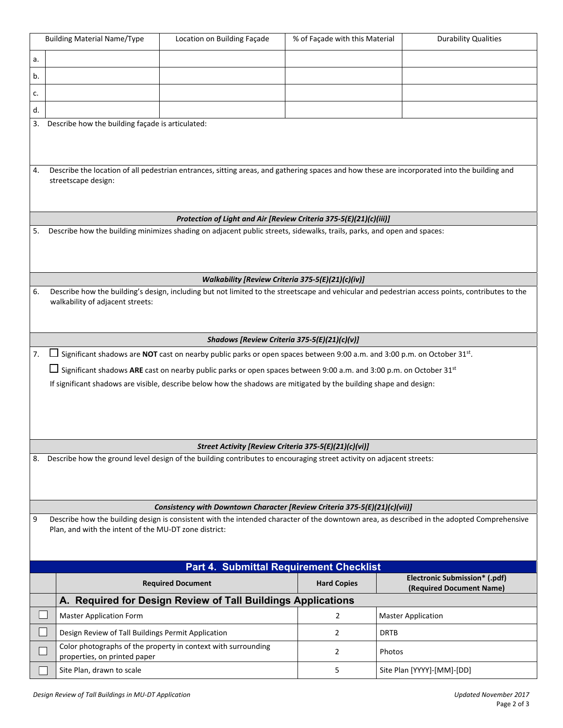|                                                                                                                                                                                                          | <b>Building Material Name/Type</b>                                                                                                                                 | Location on Building Façade                                                                                                           | % of Façade with this Material                        | <b>Durability Qualities</b>                                                                                                                     |  |  |  |
|----------------------------------------------------------------------------------------------------------------------------------------------------------------------------------------------------------|--------------------------------------------------------------------------------------------------------------------------------------------------------------------|---------------------------------------------------------------------------------------------------------------------------------------|-------------------------------------------------------|-------------------------------------------------------------------------------------------------------------------------------------------------|--|--|--|
| a.                                                                                                                                                                                                       |                                                                                                                                                                    |                                                                                                                                       |                                                       |                                                                                                                                                 |  |  |  |
| b.                                                                                                                                                                                                       |                                                                                                                                                                    |                                                                                                                                       |                                                       |                                                                                                                                                 |  |  |  |
| c.                                                                                                                                                                                                       |                                                                                                                                                                    |                                                                                                                                       |                                                       |                                                                                                                                                 |  |  |  |
| d.                                                                                                                                                                                                       |                                                                                                                                                                    |                                                                                                                                       |                                                       |                                                                                                                                                 |  |  |  |
| 3.                                                                                                                                                                                                       | Describe how the building façade is articulated:                                                                                                                   |                                                                                                                                       |                                                       |                                                                                                                                                 |  |  |  |
|                                                                                                                                                                                                          |                                                                                                                                                                    |                                                                                                                                       |                                                       |                                                                                                                                                 |  |  |  |
| 4.                                                                                                                                                                                                       | Describe the location of all pedestrian entrances, sitting areas, and gathering spaces and how these are incorporated into the building and<br>streetscape design: |                                                                                                                                       |                                                       |                                                                                                                                                 |  |  |  |
|                                                                                                                                                                                                          |                                                                                                                                                                    |                                                                                                                                       |                                                       |                                                                                                                                                 |  |  |  |
|                                                                                                                                                                                                          |                                                                                                                                                                    | Protection of Light and Air [Review Criteria 375-5(E)(21)(c)(iii)]                                                                    |                                                       |                                                                                                                                                 |  |  |  |
| 5.                                                                                                                                                                                                       |                                                                                                                                                                    | Describe how the building minimizes shading on adjacent public streets, sidewalks, trails, parks, and open and spaces:                |                                                       |                                                                                                                                                 |  |  |  |
|                                                                                                                                                                                                          |                                                                                                                                                                    |                                                                                                                                       |                                                       |                                                                                                                                                 |  |  |  |
|                                                                                                                                                                                                          |                                                                                                                                                                    |                                                                                                                                       | Walkability [Review Criteria 375-5(E)(21)(c)(iv)]     |                                                                                                                                                 |  |  |  |
| 6.                                                                                                                                                                                                       |                                                                                                                                                                    |                                                                                                                                       |                                                       | Describe how the building's design, including but not limited to the streetscape and vehicular and pedestrian access points, contributes to the |  |  |  |
|                                                                                                                                                                                                          | walkability of adjacent streets:                                                                                                                                   |                                                                                                                                       |                                                       |                                                                                                                                                 |  |  |  |
|                                                                                                                                                                                                          |                                                                                                                                                                    |                                                                                                                                       |                                                       |                                                                                                                                                 |  |  |  |
|                                                                                                                                                                                                          |                                                                                                                                                                    |                                                                                                                                       | Shadows [Review Criteria 375-5(E)(21)(c)(v)]          |                                                                                                                                                 |  |  |  |
| 7.                                                                                                                                                                                                       |                                                                                                                                                                    | Significant shadows are NOT cast on nearby public parks or open spaces between 9:00 a.m. and 3:00 p.m. on October 31st.               |                                                       |                                                                                                                                                 |  |  |  |
|                                                                                                                                                                                                          |                                                                                                                                                                    | $\Box$ Significant shadows ARE cast on nearby public parks or open spaces between 9:00 a.m. and 3:00 p.m. on October 31 <sup>st</sup> |                                                       |                                                                                                                                                 |  |  |  |
|                                                                                                                                                                                                          |                                                                                                                                                                    | If significant shadows are visible, describe below how the shadows are mitigated by the building shape and design:                    |                                                       |                                                                                                                                                 |  |  |  |
|                                                                                                                                                                                                          |                                                                                                                                                                    |                                                                                                                                       |                                                       |                                                                                                                                                 |  |  |  |
|                                                                                                                                                                                                          |                                                                                                                                                                    |                                                                                                                                       |                                                       |                                                                                                                                                 |  |  |  |
|                                                                                                                                                                                                          |                                                                                                                                                                    |                                                                                                                                       |                                                       |                                                                                                                                                 |  |  |  |
|                                                                                                                                                                                                          |                                                                                                                                                                    |                                                                                                                                       | Street Activity [Review Criteria 375-5(E)(21)(c)(vi)] |                                                                                                                                                 |  |  |  |
| 8.                                                                                                                                                                                                       |                                                                                                                                                                    | Describe how the ground level design of the building contributes to encouraging street activity on adjacent streets:                  |                                                       |                                                                                                                                                 |  |  |  |
|                                                                                                                                                                                                          |                                                                                                                                                                    |                                                                                                                                       |                                                       |                                                                                                                                                 |  |  |  |
|                                                                                                                                                                                                          |                                                                                                                                                                    |                                                                                                                                       |                                                       |                                                                                                                                                 |  |  |  |
|                                                                                                                                                                                                          | Consistency with Downtown Character [Review Criteria 375-5(E)(21)(c)(vii)]                                                                                         |                                                                                                                                       |                                                       |                                                                                                                                                 |  |  |  |
| 9<br>Describe how the building design is consistent with the intended character of the downtown area, as described in the adopted Comprehensive<br>Plan, and with the intent of the MU-DT zone district: |                                                                                                                                                                    |                                                                                                                                       |                                                       |                                                                                                                                                 |  |  |  |
|                                                                                                                                                                                                          |                                                                                                                                                                    |                                                                                                                                       |                                                       |                                                                                                                                                 |  |  |  |
|                                                                                                                                                                                                          | <b>Part 4. Submittal Requirement Checklist</b>                                                                                                                     |                                                                                                                                       |                                                       |                                                                                                                                                 |  |  |  |
|                                                                                                                                                                                                          |                                                                                                                                                                    |                                                                                                                                       |                                                       | Electronic Submission* (.pdf)                                                                                                                   |  |  |  |
|                                                                                                                                                                                                          |                                                                                                                                                                    | <b>Required Document</b>                                                                                                              | <b>Hard Copies</b>                                    | (Required Document Name)                                                                                                                        |  |  |  |
|                                                                                                                                                                                                          |                                                                                                                                                                    | A. Required for Design Review of Tall Buildings Applications                                                                          |                                                       |                                                                                                                                                 |  |  |  |
|                                                                                                                                                                                                          | <b>Master Application Form</b>                                                                                                                                     |                                                                                                                                       | 2                                                     | <b>Master Application</b>                                                                                                                       |  |  |  |
|                                                                                                                                                                                                          | Design Review of Tall Buildings Permit Application                                                                                                                 | Color photographs of the property in context with surrounding                                                                         | 2                                                     | <b>DRTB</b>                                                                                                                                     |  |  |  |
|                                                                                                                                                                                                          | properties, on printed paper                                                                                                                                       |                                                                                                                                       | 2                                                     | Photos                                                                                                                                          |  |  |  |
|                                                                                                                                                                                                          | Site Plan, drawn to scale                                                                                                                                          |                                                                                                                                       | 5                                                     | Site Plan [YYYY]-[MM]-[DD]                                                                                                                      |  |  |  |